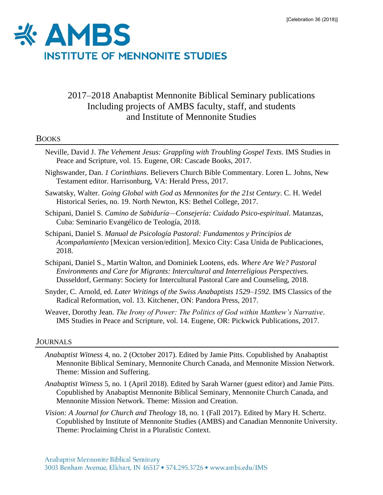

# 2017–2018 Anabaptist Mennonite Biblical Seminary publications Including projects of AMBS faculty, staff, and students and Institute of Mennonite Studies

# **BOOKS**

- Neville, David J. *The Vehement Jesus: Grappling with Troubling Gospel Texts*. IMS Studies in Peace and Scripture, vol. 15. Eugene, OR: Cascade Books, 2017.
- Nighswander, Dan. *[1 Corinthians](https://ambs.populiweb.com/router/bookstore/items/160861/show)*. Believers Church Bible Commentary. Loren L. Johns, New Testament editor. Harrisonburg, VA: Herald Press, 2017.
- Sawatsky, Walter. *[Going Global with God as Mennonites for the 21st Century](https://www.amazon.com/Going-Global-Mennonites-21st-Century/dp/1889239127)*. C. H. Wedel Historical Series, no. 19. North Newton, KS: Bethel College, 2017.
- Schipani, Daniel S. *Camino de Sabiduría—Consejería: Cuidado Psico-espiritual*. Matanzas, Cuba: Seminario Evangélico de Teología, 2018.
- Schipani, Daniel S. *Manual de Psicología Pastoral: Fundamentos y Principios de Acompañamiento* [Mexican version/edition]. Mexico City: Casa Unida de Publicaciones, 2018.
- Schipani, Daniel S., Martin Walton, and Dominiek Lootens, eds. *[Where Are We? Pastoral](http://www.sipcc.org/buecher)  [Environments and Care for Migrants: Intercultural and Interreligious Perspectives.](http://www.sipcc.org/buecher)*  Dusseldorf, Germany: Society for Intercultural Pastoral Care and Counseling, 2018.
- Snyder, C. Arnold, ed. *[Later Writings of the Swiss Anabaptists 1529–1592](https://ambs.populiweb.com/router/bookstore/items/162007/show)*. IMS Classics of the Radical Reformation, vol. 13. Kitchener, ON: Pandora Press, 2017.
- Weaver, Dorothy Jean. *[The Irony of Power: The Politics of God within Matthew's Narrative](https://ambs.populiweb.com/router/bookstore/items/164461/show)*. IMS Studies in Peace and Scripture, vol. 14. Eugene, OR: Pickwick Publications, 2017.

# JOURNALS

- *Anabaptist Witness* 4, no. 2 (October 2017). Edited by Jamie Pitts. Copublished by Anabaptist Mennonite Biblical Seminary, Mennonite Church Canada, and Mennonite Mission Network. Theme: [Mission and Suffering.](http://www.anabaptistwitness.org/volumes/volume-4/issue-2/)
- *Anabaptist Witness* 5, no. 1 (April 2018). Edited by Sarah Warner (guest editor) and Jamie Pitts. Copublished by Anabaptist Mennonite Biblical Seminary, Mennonite Church Canada, and Mennonite Mission Network. Theme: Mission and Creation.
- *Vision: A Journal for Church and Theology* 18, no. 1 (Fall 2017). Edited by Mary H. Schertz. Copublished by Institute of Mennonite Studies (AMBS) and Canadian Mennonite University. Theme: [Proclaiming Christ in a Pluralistic Context.](http://press.palni.org/ojs/index.php/vision/issue/view/18-2)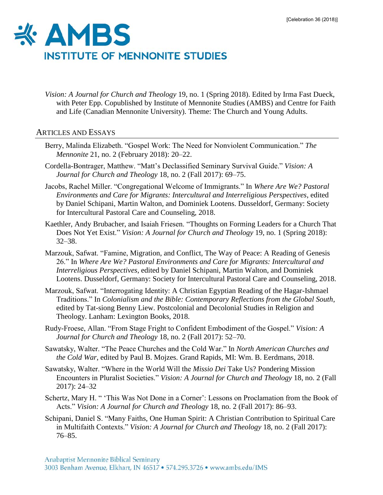

*Vision: A Journal for Church and Theology* 19, no. 1 (Spring 2018). Edited by Irma Fast Dueck, with Peter Epp. Copublished by Institute of Mennonite Studies (AMBS) and Centre for Faith and Life (Canadian Mennonite University). Theme: [The Church and Young Adults.](http://press.palni.org/ojs/index.php/vision/issue/view/19-1/19-1)

## ARTICLES AND ESSAYS

- Berry, Malinda Elizabeth. "Gospel Work: The Need for Nonviolent Communication." *The Mennonite* 21, no. 2 (February 2018): 20–22.
- Cordella-Bontrager, Matthew. "Matt's Declassified Seminary Survival Guide." *[Vision: A](http://press.palni.org/ojs/index.php/vision/issue/view/18-2/18-2)  [Journal for Church and Theology](http://press.palni.org/ojs/index.php/vision/issue/view/18-2/18-2)* 18, no. 2 (Fall 2017): 69–75.
- Jacobs, Rachel Miller. "Congregational Welcome of Immigrants." In *[Where Are We? Pastoral](http://www.sipcc.org/buecher)  [Environments and Care for Migrants: Intercultural and Interreligious Perspectives](http://www.sipcc.org/buecher)*, edited by Daniel Schipani, Martin Walton, and Dominiek Lootens. Dusseldorf, Germany: Society for Intercultural Pastoral Care and Counseling, 2018.
- Kaethler, Andy Brubacher, and Isaiah Friesen. ["Thoughts on Forming Leaders for a Church That](http://press.palni.org/ojs/index.php/vision/article/view/32/10)  [Does Not Yet Exist.](http://press.palni.org/ojs/index.php/vision/article/view/32/10)" *Vision: A Journal for Church and Theology* 19, no. 1 (Spring 2018): 32–38.
- Marzouk, Safwat. "Famine, Migration, and Conflict, The Way of Peace: A Reading of Genesis 26." In *[Where Are We? Pastoral Environments and Care for Migrants: Intercultural and](http://www.sipcc.org/buecher)  [Interreligious Perspectives](http://www.sipcc.org/buecher)*, edited by Daniel Schipani, Martin Walton, and Dominiek Lootens. Dusseldorf, Germany: Society for Intercultural Pastoral Care and Counseling, 2018.
- Marzouk, Safwat. "Interrogating Identity: A Christian Egyptian Reading of the Hagar-Ishmael Traditions." In *[Colonialism and the Bible: Contemporary Reflections from the Global South](https://www.amazon.com/Colonialism-Bible-Contemporary-Reflections-Postcolonial/dp/1498572758)*, edited by Tat-siong Benny Liew. Postcolonial and Decolonial Studies in Religion and Theology. Lanham: Lexington Books, 2018.
- Rudy-Froese, Allan. "From Stage Fright to Confident Embodiment of the Gospel." *[Vision: A](http://press.palni.org/ojs/index.php/vision/issue/view/18-2/18-2)  [Journal for Church and Theology](http://press.palni.org/ojs/index.php/vision/issue/view/18-2/18-2)* 18, no. 2 (Fall 2017): 52–70.
- Sawatsky, Walter. "The Peace Churches and the Cold War." In *[North American Churches and](https://www.eerdmans.com/Products/7526/north-american-churches-and-the-cold-war.aspx)  [the Cold War](https://www.eerdmans.com/Products/7526/north-american-churches-and-the-cold-war.aspx)*, edited by Paul B. Mojzes. Grand Rapids, MI: Wm. B. Eerdmans, 2018.
- Sawatsky, Walter. "Where in the World Will the *Missio Dei* Take Us? Pondering Mission Encounters in Pluralist Societies." *[Vision: A Journal for Church and Theology](http://press.palni.org/ojs/index.php/vision/issue/view/18-2/18-2)* 18, no. 2 (Fall 2017): 24–32
- Schertz, Mary H. " 'This Was Not Done in a Corner': Lessons on Proclamation from the Book of Acts." *[Vision: A Journal for Church and Theology](http://press.palni.org/ojs/index.php/vision/issue/view/18-2/18-2)* 18, no. 2 (Fall 2017): 86–93.
- Schipani, Daniel S. "Many Faiths, One Human Spirit: A Christian Contribution to Spiritual Care in Multifaith Contexts." *[Vision: A Journal for Church and Theology](http://press.palni.org/ojs/index.php/vision/issue/view/18-2/18-2)* 18, no. 2 (Fall 2017): 76–85.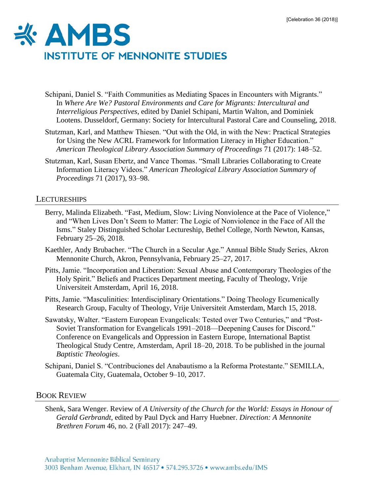

- Schipani, Daniel S. "Faith Communities as Mediating Spaces in Encounters with Migrants." In *[Where Are We? Pastoral Environments and Care for Migrants: Intercultural and](http://www.sipcc.org/buecher)  [Interreligious Perspectives](http://www.sipcc.org/buecher)*, edited by Daniel Schipani, Martin Walton, and Dominiek Lootens. Dusseldorf, Germany: Society for Intercultural Pastoral Care and Counseling, 2018.
- Stutzman, Karl, and Matthew Thiesen. "Out with the Old, in with the New: Practical Strategies for Using the New ACRL Framework for Information Literacy in Higher Education." *[American Theological Library Association Summary of Proceedings](https://www.atla.com/Members/benefits/proceedings/Pages/default.aspx)* 71 (2017): 148–52.
- Stutzman, Karl, Susan Ebertz, and Vance Thomas. "Small Libraries Collaborating to Create Information Literacy Videos." *[American Theological Library Association Summary of](https://www.atla.com/Members/benefits/proceedings/Pages/default.aspx)  [Proceedings](https://www.atla.com/Members/benefits/proceedings/Pages/default.aspx)* 71 (2017), 93–98.

## **LECTURESHIPS**

- Berry, Malinda Elizabeth. "Fast, Medium, Slow: Living Nonviolence at the Pace of Violence," and "When Lives Don't Seem to Matter: The Logic of Nonviolence in the Face of All the Isms." Staley Distinguished Scholar Lectureship, Bethel College, North Newton, Kansas, February 25–26, 2018.
- Kaethler, Andy Brubacher. "The Church in a Secular Age." Annual Bible Study Series, Akron Mennonite Church, Akron, Pennsylvania, February 25–27, 2017.
- Pitts, Jamie. "Incorporation and Liberation: Sexual Abuse and Contemporary Theologies of the Holy Spirit." Beliefs and Practices Department meeting, Faculty of Theology, Vrije Universiteit Amsterdam, April 16, 2018.
- Pitts, Jamie. "Masculinities: Interdisciplinary Orientations." Doing Theology Ecumenically Research Group, Faculty of Theology, Vrije Universiteit Amsterdam, March 15, 2018.
- Sawatsky, Walter. "Eastern European Evangelicals: Tested over Two Centuries," and "Post-Soviet Transformation for Evangelicals 1991–2018—Deepening Causes for Discord." Conference on Evangelicals and Oppression in Eastern Europe, International Baptist Theological Study Centre, Amsterdam, April 18–20, 2018. To be published in the journal *Baptistic Theologies*.
- Schipani, Daniel S. "Contribuciones del Anabautismo a la Reforma Protestante." SEMILLA, Guatemala City, Guatemala, October 9–10, 2017.

### BOOK REVIEW

Shenk, Sara Wenger. Review of *A University of the Church for the World: Essays in Honour of Gerald Gerbrandt*, edited by Paul Dyck and Harry Huebner. *[Direction: A Mennonite](http://www.directionjournal.org/46/2/index.html)  [Brethren Forum](http://www.directionjournal.org/46/2/index.html)* 46, no. 2 (Fall 2017): 247–49.